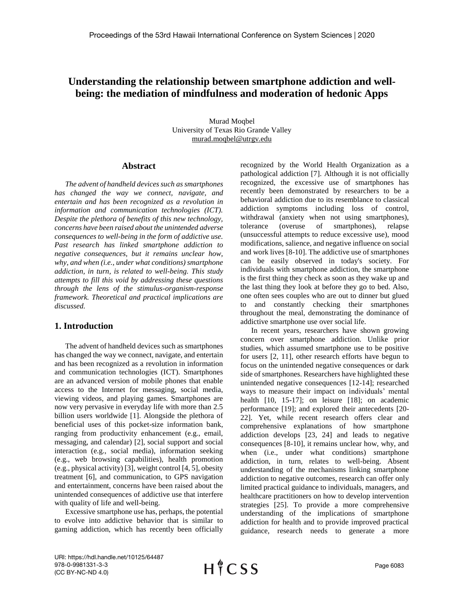# **Understanding the relationship between smartphone addiction and wellbeing: the mediation of mindfulness and moderation of hedonic Apps**

Murad Moqbel University of Texas Rio Grande Valley murad.moqbel@utrgv.edu

#### **Abstract**

*The advent of handheld devices such as smartphones has changed the way we connect, navigate, and entertain and has been recognized as a revolution in information and communication technologies (ICT). Despite the plethora of benefits of this new technology, concerns have been raised about the unintended adverse consequences to well-being in the form of addictive use. Past research has linked smartphone addiction to negative consequences, but it remains unclear how, why, and when (i.e., under what conditions) smartphone addiction, in turn, is related to well-being. This study attempts to fill this void by addressing these questions through the lens of the stimulus-organism-response framework. Theoretical and practical implications are discussed.*

## **1. Introduction**

The advent of handheld devices such as smartphones has changed the way we connect, navigate, and entertain and has been recognized as a revolution in information and communication technologies (ICT). Smartphones are an advanced version of mobile phones that enable access to the Internet for messaging, social media, viewing videos, and playing games. Smartphones are now very pervasive in everyday life with more than 2.5 billion users worldwide [1]. Alongside the plethora of beneficial uses of this pocket-size information bank, ranging from productivity enhancement (e.g., email, messaging, and calendar) [2], social support and social interaction (e.g., social media), information seeking (e.g., web browsing capabilities), health promotion (e.g., physical activity) [3], weight control [4, 5], obesity treatment [6], and communication, to GPS navigation and entertainment, concerns have been raised about the unintended consequences of addictive use that interfere with quality of life and well-being.

Excessive smartphone use has, perhaps, the potential to evolve into addictive behavior that is similar to gaming addiction, which has recently been officially recognized by the World Health Organization as a pathological addiction [7]. Although it is not officially recognized, the excessive use of smartphones has recently been demonstrated by researchers to be a behavioral addiction due to its resemblance to classical addiction symptoms including loss of control, withdrawal (anxiety when not using smartphones), tolerance (overuse of smartphones), relapse (unsuccessful attempts to reduce excessive use), mood modifications, salience, and negative influence on social and work lives [8-10]. The addictive use of smartphones can be easily observed in today's society. For individuals with smartphone addiction, the smartphone is the first thing they check as soon as they wake up and the last thing they look at before they go to bed. Also, one often sees couples who are out to dinner but glued to and constantly checking their smartphones throughout the meal, demonstrating the dominance of addictive smartphone use over social life.

In recent years, researchers have shown growing concern over smartphone addiction. Unlike prior studies, which assumed smartphone use to be positive for users [2, 11], other research efforts have begun to focus on the unintended negative consequences or dark side of smartphones. Researchers have highlighted these unintended negative consequences [12-14]; researched ways to measure their impact on individuals' mental health [10, 15-17]; on leisure [18]; on academic performance [19]; and explored their antecedents [20- 22]. Yet, while recent research offers clear and comprehensive explanations of how smartphone addiction develops [23, 24] and leads to negative consequences [8-10], it remains unclear how, why, and when (i.e., under what conditions) smartphone addiction, in turn, relates to well-being. Absent understanding of the mechanisms linking smartphone addiction to negative outcomes, research can offer only limited practical guidance to individuals, managers, and healthcare practitioners on how to develop intervention strategies [25]. To provide a more comprehensive understanding of the implications of smartphone addiction for health and to provide improved practical guidance, research needs to generate a more

URI: https://hdl.handle.net/10125/64487 978-0-9981331-3-3 (CC BY-NC-ND 4.0)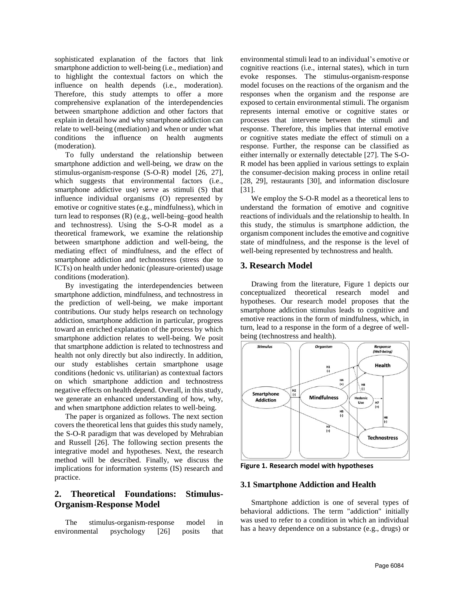sophisticated explanation of the factors that link smartphone addiction to well-being (i.e., mediation) and to highlight the contextual factors on which the influence on health depends (i.e., moderation). Therefore, this study attempts to offer a more comprehensive explanation of the interdependencies between smartphone addiction and other factors that explain in detail how and why smartphone addiction can relate to well-being (mediation) and when or under what conditions the influence on health augments (moderation).

To fully understand the relationship between smartphone addiction and well-being, we draw on the stimulus-organism-response (S-O-R) model [26, 27], which suggests that environmental factors (i.e., smartphone addictive use) serve as stimuli (S) that influence individual organisms (O) represented by emotive or cognitive states (e.g., mindfulness), which in turn lead to responses (R) (e.g., well-being–good health and technostress). Using the S-O-R model as a theoretical framework, we examine the relationship between smartphone addiction and well-being, the mediating effect of mindfulness, and the effect of smartphone addiction and technostress (stress due to ICTs) on health under hedonic (pleasure-oriented) usage conditions (moderation).

By investigating the interdependencies between smartphone addiction, mindfulness, and technostress in the prediction of well-being, we make important contributions. Our study helps research on technology addiction, smartphone addiction in particular, progress toward an enriched explanation of the process by which smartphone addiction relates to well-being. We posit that smartphone addiction is related to technostress and health not only directly but also indirectly. In addition, our study establishes certain smartphone usage conditions (hedonic vs. utilitarian) as contextual factors on which smartphone addiction and technostress negative effects on health depend. Overall, in this study, we generate an enhanced understanding of how, why, and when smartphone addiction relates to well-being.

The paper is organized as follows. The next section covers the theoretical lens that guides this study namely, the S-O-R paradigm that was developed by Mehrabian and Russell [26]. The following section presents the integrative model and hypotheses. Next, the research method will be described. Finally, we discuss the implications for information systems (IS) research and practice.

# **2. Theoretical Foundations: Stimulus-Organism-Response Model**

The stimulus-organism-response model in environmental psychology [26] posits that

environmental stimuli lead to an individual's emotive or cognitive reactions (i.e., internal states), which in turn evoke responses. The stimulus-organism-response model focuses on the reactions of the organism and the responses when the organism and the response are exposed to certain environmental stimuli. The organism represents internal emotive or cognitive states or processes that intervene between the stimuli and response. Therefore, this implies that internal emotive or cognitive states mediate the effect of stimuli on a response. Further, the response can be classified as either internally or externally detectable [27]. The S-O-R model has been applied in various settings to explain the consumer-decision making process in online retail [28, 29], restaurants [30], and information disclosure [31].

We employ the S-O-R model as a theoretical lens to understand the formation of emotive and cognitive reactions of individuals and the relationship to health. In this study, the stimulus is smartphone addiction, the organism component includes the emotive and cognitive state of mindfulness, and the response is the level of well-being represented by technostress and health.

## **3. Research Model**

Drawing from the literature, Figure 1 depicts our conceptualized theoretical research model and hypotheses. Our research model proposes that the smartphone addiction stimulus leads to cognitive and emotive reactions in the form of mindfulness, which, in turn, lead to a response in the form of a degree of wellbeing (technostress and health).



**Figure 1. Research model with hypotheses**

#### **3.1 Smartphone Addiction and Health**

Smartphone addiction is one of several types of behavioral addictions. The term "addiction" initially was used to refer to a condition in which an individual has a heavy dependence on a substance (e.g., drugs) or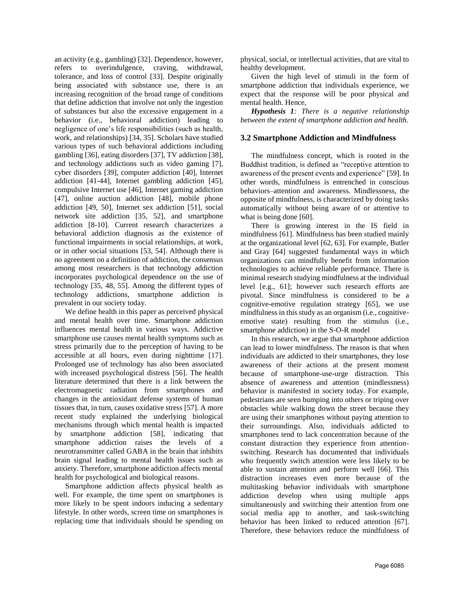an activity (e.g., gambling) [32]. Dependence, however, refers to overindulgence, craving, withdrawal, tolerance, and loss of control [33]. Despite originally being associated with substance use, there is an increasing recognition of the broad range of conditions that define addiction that involve not only the ingestion of substances but also the excessive engagement in a behavior (i.e., behavioral addiction) leading to negligence of one's life responsibilities (such as health, work, and relationships) [34, 35]. Scholars have studied various types of such behavioral addictions including gambling [36], eating disorders [37], TV addiction [38], and technology addictions such as video gaming [7], cyber disorders [39], computer addiction [40], Internet addiction [41-44], Internet gambling addiction [45], compulsive Internet use [46], Internet gaming addiction [47], online auction addiction [48], mobile phone addiction [49, 50], Internet sex addiction [51], social network site addiction [35, 52], and smartphone addiction [8-10]. Current research characterizes a behavioral addiction diagnosis as the existence of functional impairments in social relationships, at work, or in other social situations [53, 54]. Although there is no agreement on a definition of addiction, the consensus among most researchers is that technology addiction incorporates psychological dependence on the use of technology [35, 48, 55]. Among the different types of technology addictions, smartphone addiction is prevalent in our society today.

We define health in this paper as perceived physical and mental health over time. Smartphone addiction influences mental health in various ways. Addictive smartphone use causes mental health symptoms such as stress primarily due to the perception of having to be accessible at all hours, even during nighttime [17]. Prolonged use of technology has also been associated with increased psychological distress [56]. The health literature determined that there is a link between the electromagnetic radiation from smartphones and changes in the antioxidant defense systems of human tissues that, in turn, causes oxidative stress [57]. A more recent study explained the underlying biological mechanisms through which mental health is impacted by smartphone addiction [58], indicating that smartphone addiction raises the levels of a neurotransmitter called GABA in the brain that inhibits brain signal leading to mental health issues such as anxiety. Therefore, smartphone addiction affects mental health for psychological and biological reasons.

Smartphone addiction affects physical health as well. For example, the time spent on smartphones is more likely to be spent indoors inducing a sedentary lifestyle. In other words, screen time on smartphones is replacing time that individuals should be spending on physical, social, or intellectual activities, that are vital to healthy development.

Given the high level of stimuli in the form of smartphone addiction that individuals experience, we expect that the response will be poor physical and mental health. Hence,

*Hypothesis 1: There is a negative relationship between the extent of smartphone addiction and health.*

### **3.2 Smartphone Addiction and Mindfulness**

The mindfulness concept, which is rooted in the Buddhist tradition, is defined as "receptive attention to awareness of the present events and experience" [59]. In other words, mindfulness is entrenched in conscious behaviors–attention and awareness. Mindlessness, the opposite of mindfulness, is characterized by doing tasks automatically without being aware of or attentive to what is being done [60].

There is growing interest in the IS field in mindfulness [61]. Mindfulness has been studied mainly at the organizational level [62, 63]. For example, Butler and Gray [64] suggested fundamental ways in which organizations can mindfully benefit from information technologies to achieve reliable performance. There is minimal research studying mindfulness at the individual level [e.g., 61]; however such research efforts are pivotal. Since mindfulness is considered to be a cognitive-emotive regulation strategy [65], we use mindfulness in this study as an organism (i.e., cognitiveemotive state) resulting from the stimulus (i.e., smartphone addiction) in the S-O-R model

In this research, we argue that smartphone addiction can lead to lower mindfulness. The reason is that when individuals are addicted to their smartphones, they lose awareness of their actions at the present moment because of smartphone-use-urge distraction. This absence of awareness and attention (mindlessness) behavior is manifested in society today. For example, pedestrians are seen bumping into others or triping over obstacles while walking down the street because they are using their smartphones without paying attention to their surroundings. Also, individuals addicted to smartphones tend to lack concentration because of the constant distraction they experience from attentionswitching. Research has documented that individuals who frequently switch attention were less likely to be able to sustain attention and perform well [66]. This distraction increases even more because of the multitasking behavior individuals with smartphone addiction develop when using multiple apps simultaneously and switching their attention from one social media app to another, and task-switching behavior has been linked to reduced attention [67]. Therefore, these behaviors reduce the mindfulness of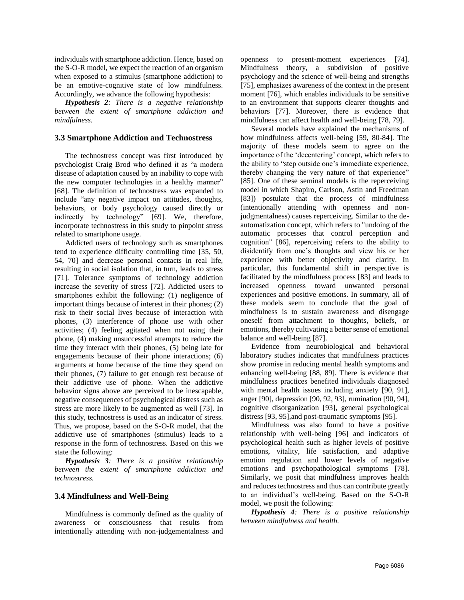individuals with smartphone addiction. Hence, based on the S-O-R model, we expect the reaction of an organism when exposed to a stimulus (smartphone addiction) to be an emotive-cognitive state of low mindfulness. Accordingly, we advance the following hypothesis:

*Hypothesis 2: There is a negative relationship between the extent of smartphone addiction and mindfulness.*

#### **3.3 Smartphone Addiction and Technostress**

The technostress concept was first introduced by psychologist Craig Brod who defined it as "a modern disease of adaptation caused by an inability to cope with the new computer technologies in a healthy manner" [68]. The definition of technostress was expanded to include "any negative impact on attitudes, thoughts, behaviors, or body psychology caused directly or indirectly by technology" [69]. We, therefore, incorporate technostress in this study to pinpoint stress related to smartphone usage.

Addicted users of technology such as smartphones tend to experience difficulty controlling time [35, 50, 54, 70] and decrease personal contacts in real life, resulting in social isolation that, in turn, leads to stress [71]. Tolerance symptoms of technology addiction increase the severity of stress [72]. Addicted users to smartphones exhibit the following: (1) negligence of important things because of interest in their phones; (2) risk to their social lives because of interaction with phones, (3) interference of phone use with other activities; (4) feeling agitated when not using their phone, (4) making unsuccessful attempts to reduce the time they interact with their phones, (5) being late for engagements because of their phone interactions; (6) arguments at home because of the time they spend on their phones, (7) failure to get enough rest because of their addictive use of phone. When the addictive behavior signs above are perceived to be inescapable, negative consequences of psychological distress such as stress are more likely to be augmented as well [73]. In this study, technostress is used as an indicator of stress. Thus, we propose, based on the S-O-R model, that the addictive use of smartphones (stimulus) leads to a response in the form of technostress. Based on this we state the following:

*Hypothesis 3: There is a positive relationship between the extent of smartphone addiction and technostress.*

#### **3.4 Mindfulness and Well-Being**

Mindfulness is commonly defined as the quality of awareness or consciousness that results from intentionally attending with non-judgementalness and

openness to present-moment experiences [74]. Mindfulness theory, a subdivision of positive psychology and the science of well-being and strengths [75], emphasizes awareness of the context in the present moment [76], which enables individuals to be sensitive to an environment that supports clearer thoughts and behaviors [77]. Moreover, there is evidence that mindfulness can affect health and well-being [78, 79].

Several models have explained the mechanisms of how mindfulness affects well-being [59, 80-84]. The majority of these models seem to agree on the importance of the 'decentering' concept, which refers to the ability to "step outside one's immediate experience, thereby changing the very nature of that experience" [85]. One of these seminal models is the reperceiving model in which Shapiro, Carlson, Astin and Freedman [83]) postulate that the process of mindfulness (intentionally attending with openness and nonjudgmentalness) causes reperceiving. Similar to the deautomatization concept, which refers to "undoing of the automatic processes that control perception and cognition" [86], reperceiving refers to the ability to disidentify from one's thoughts and view his or her experience with better objectivity and clarity. In particular, this fundamental shift in perspective is facilitated by the mindfulness process [83] and leads to increased openness toward unwanted personal experiences and positive emotions. In summary, all of these models seem to conclude that the goal of mindfulness is to sustain awareness and disengage oneself from attachment to thoughts, beliefs, or emotions, thereby cultivating a better sense of emotional balance and well-being [87].

Evidence from neurobiological and behavioral laboratory studies indicates that mindfulness practices show promise in reducing mental health symptoms and enhancing well-being [88, 89]. There is evidence that mindfulness practices benefited individuals diagnosed with mental health issues including anxiety [90, 91], anger [90], depression [90, 92, 93], rumination [90, 94], cognitive disorganization [93], general psychological distress [93, 95],and post-traumatic symptoms [95].

Mindfulness was also found to have a positive relationship with well-being [96] and indicators of psychological health such as higher levels of positive emotions, vitality, life satisfaction, and adaptive emotion regulation and lower levels of negative emotions and psychopathological symptoms [78]. Similarly, we posit that mindfulness improves health and reduces technostress and thus can contribute greatly to an individual's well-being. Based on the S-O-R model, we posit the following:

*Hypothesis 4: There is a positive relationship between mindfulness and health.*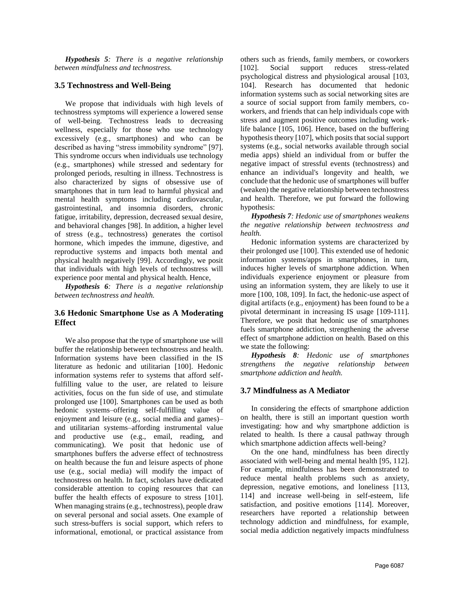*Hypothesis 5: There is a negative relationship between mindfulness and technostress.*

#### **3.5 Technostress and Well-Being**

We propose that individuals with high levels of technostress symptoms will experience a lowered sense of well-being. Technostress leads to decreasing wellness, especially for those who use technology excessively (e.g., smartphones) and who can be described as having "stress immobility syndrome" [97]. This syndrome occurs when individuals use technology (e.g., smartphones) while stressed and sedentary for prolonged periods, resulting in illness. Technostress is also characterized by signs of obsessive use of smartphones that in turn lead to harmful physical and mental health symptoms including cardiovascular, gastrointestinal, and insomnia disorders, chronic fatigue, irritability, depression, decreased sexual desire, and behavioral changes [98]. In addition, a higher level of stress (e.g., technostress) generates the cortisol hormone, which impedes the immune, digestive, and reproductive systems and impacts both mental and physical health negatively [99]. Accordingly, we posit that individuals with high levels of technostress will experience poor mental and physical health. Hence,

*Hypothesis 6: There is a negative relationship between technostress and health.*

### **3.6 Hedonic Smartphone Use as A Moderating Effect**

We also propose that the type of smartphone use will buffer the relationship between technostress and health. Information systems have been classified in the IS literature as hedonic and utilitarian [100]. Hedonic information systems refer to systems that afford selffulfilling value to the user, are related to leisure activities, focus on the fun side of use, and stimulate prolonged use [100]. Smartphones can be used as both hedonic systems–offering self-fulfilling value of enjoyment and leisure (e.g., social media and games)– and utilitarian systems–affording instrumental value and productive use (e.g., email, reading, and communicating). We posit that hedonic use of smartphones buffers the adverse effect of technostress on health because the fun and leisure aspects of phone use (e.g., social media) will modify the impact of technostress on health. In fact, scholars have dedicated considerable attention to coping resources that can buffer the health effects of exposure to stress [101]. When managing strains (e.g., technostress), people draw on several personal and social assets. One example of such stress-buffers is social support, which refers to informational, emotional, or practical assistance from others such as friends, family members, or coworkers [102]. Social support reduces stress-related psychological distress and physiological arousal [103, 104]. Research has documented that hedonic information systems such as social networking sites are a source of social support from family members, coworkers, and friends that can help individuals cope with stress and augment positive outcomes including worklife balance [105, 106]. Hence, based on the buffering hypothesis theory [107], which posits that social support systems (e.g., social networks available through social media apps) shield an individual from or buffer the negative impact of stressful events (technostress) and enhance an individual's longevity and health, we conclude that the hedonic use of smartphones will buffer (weaken) the negative relationship between technostress and health. Therefore, we put forward the following hypothesis:

*Hypothesis 7: Hedonic use of smartphones weakens the negative relationship between technostress and health.*

Hedonic information systems are characterized by their prolonged use [100]. This extended use of hedonic information systems/apps in smartphones, in turn, induces higher levels of smartphone addiction. When individuals experience enjoyment or pleasure from using an information system, they are likely to use it more [100, 108, 109]. In fact, the hedonic-use aspect of digital artifacts (e.g., enjoyment) has been found to be a pivotal determinant in increasing IS usage [109-111]. Therefore, we posit that hedonic use of smartphones fuels smartphone addiction, strengthening the adverse effect of smartphone addiction on health. Based on this we state the following:

*Hypothesis 8: Hedonic use of smartphones strengthens the negative relationship between smartphone addiction and health.*

#### **3.7 Mindfulness as A Mediator**

In considering the effects of smartphone addiction on health, there is still an important question worth investigating: how and why smartphone addiction is related to health. Is there a causal pathway through which smartphone addiction affects well-being?

On the one hand, mindfulness has been directly associated with well-being and mental health [95, 112]. For example, mindfulness has been demonstrated to reduce mental health problems such as anxiety, depression, negative emotions, and loneliness [113, 114] and increase well-being in self-esteem, life satisfaction, and positive emotions [114]. Moreover, researchers have reported a relationship between technology addiction and mindfulness, for example, social media addiction negatively impacts mindfulness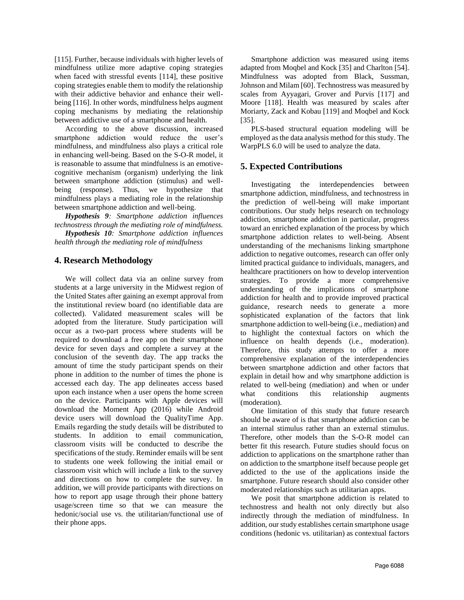[115]. Further, because individuals with higher levels of mindfulness utilize more adaptive coping strategies when faced with stressful events [114], these positive coping strategies enable them to modify the relationship with their addictive behavior and enhance their wellbeing [116]. In other words, mindfulness helps augment coping mechanisms by mediating the relationship between addictive use of a smartphone and health.

According to the above discussion, increased smartphone addiction would reduce the user's mindfulness, and mindfulness also plays a critical role in enhancing well-being. Based on the S-O-R model, it is reasonable to assume that mindfulness is an emotivecognitive mechanism (organism) underlying the link between smartphone addiction (stimulus) and wellbeing (response). Thus, we hypothesize that mindfulness plays a mediating role in the relationship between smartphone addiction and well-being.

*Hypothesis 9: Smartphone addiction influences technostress through the mediating role of mindfulness.*

*Hypothesis 10: Smartphone addiction influences health through the mediating role of mindfulness*

# **4. Research Methodology**

We will collect data via an online survey from students at a large university in the Midwest region of the United States after gaining an exempt approval from the institutional review board (no identifiable data are collected). Validated measurement scales will be adopted from the literature. Study participation will occur as a two-part process where students will be required to download a free app on their smartphone device for seven days and complete a survey at the conclusion of the seventh day. The app tracks the amount of time the study participant spends on their phone in addition to the number of times the phone is accessed each day. The app delineates access based upon each instance when a user opens the home screen on the device. Participants with Apple devices will download the Moment App (2016) while Android device users will download the QualityTime App. Emails regarding the study details will be distributed to students. In addition to email communication, classroom visits will be conducted to describe the specifications of the study. Reminder emails will be sent to students one week following the initial email or classroom visit which will include a link to the survey and directions on how to complete the survey. In addition, we will provide participants with directions on how to report app usage through their phone battery usage/screen time so that we can measure the hedonic/social use vs. the utilitarian/functional use of their phone apps.

Smartphone addiction was measured using items adapted from Moqbel and Kock [35] and Charlton [54]. Mindfulness was adopted from Black, Sussman, Johnson and Milam [60]. Technostress was measured by scales from Ayyagari, Grover and Purvis [117] and Moore [118]. Health was measured by scales after Moriarty, Zack and Kobau [119] and Moqbel and Kock [35].

PLS-based structural equation modeling will be employed as the data analysis method for this study. The WarpPLS 6.0 will be used to analyze the data.

# **5. Expected Contributions**

Investigating the interdependencies between smartphone addiction, mindfulness, and technostress in the prediction of well-being will make important contributions. Our study helps research on technology addiction, smartphone addiction in particular, progress toward an enriched explanation of the process by which smartphone addiction relates to well-being. Absent understanding of the mechanisms linking smartphone addiction to negative outcomes, research can offer only limited practical guidance to individuals, managers, and healthcare practitioners on how to develop intervention strategies. To provide a more comprehensive understanding of the implications of smartphone addiction for health and to provide improved practical guidance, research needs to generate a more sophisticated explanation of the factors that link smartphone addiction to well-being (i.e., mediation) and to highlight the contextual factors on which the influence on health depends (i.e., moderation). Therefore, this study attempts to offer a more comprehensive explanation of the interdependencies between smartphone addiction and other factors that explain in detail how and why smartphone addiction is related to well-being (mediation) and when or under what conditions this relationship augments (moderation).

One limitation of this study that future research should be aware of is that smartphone addiction can be an internal stimulus rather than an external stimulus. Therefore, other models than the S-O-R model can better fit this research. Future studies should focus on addiction to applications on the smartphone rather than on addiction to the smartphone itself because people get addicted to the use of the applications inside the smartphone. Future research should also consider other moderated relationships such as utilitarian apps.

We posit that smartphone addiction is related to technostress and health not only directly but also indirectly through the mediation of mindfulness. In addition, our study establishes certain smartphone usage conditions (hedonic vs. utilitarian) as contextual factors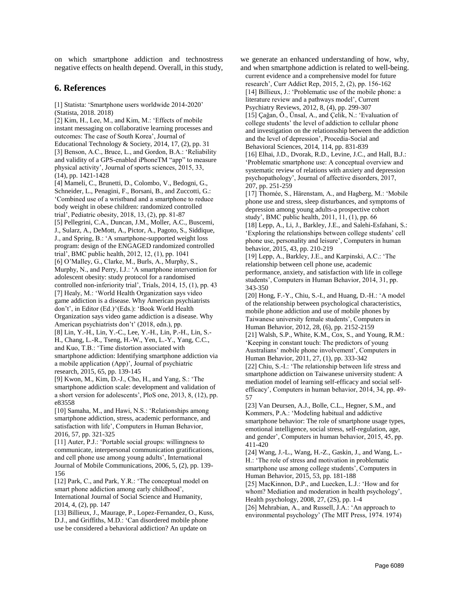on which smartphone addiction and technostress negative effects on health depend. Overall, in this study,

#### **6. References**

[1] Statista: 'Smartphone users worldwide 2014-2020' (Statista, 2018. 2018)

[2] Kim, H., Lee, M., and Kim, M.: 'Effects of mobile instant messaging on collaborative learning processes and outcomes: The case of South Korea', Journal of Educational Technology & Society, 2014, 17, (2), pp. 31 [3] Benson, A.C., Bruce, L., and Gordon, B.A.: 'Reliability and validity of a GPS-enabled iPhoneTM "app" to measure physical activity', Journal of sports sciences, 2015, 33, (14), pp. 1421-1428 [4] Mameli, C., Brunetti, D., Colombo, V., Bedogni, G., Schneider, L., Penagini, F., Borsani, B., and Zuccotti, G.: 'Combined use of a wristband and a smartphone to reduce body weight in obese children: randomized controlled trial', Pediatric obesity, 2018, 13, (2), pp. 81-87 [5] Pellegrini, C.A., Duncan, J.M., Moller, A.C., Buscemi, J., Sularz, A., DeMott, A., Pictor, A., Pagoto, S., Siddique, J., and Spring, B.: 'A smartphone-supported weight loss program: design of the ENGAGED randomized controlled trial', BMC public health, 2012, 12, (1), pp. 1041 [6] O'Malley, G., Clarke, M., Burls, A., Murphy, S., Murphy, N., and Perry, I.J.: 'A smartphone intervention for adolescent obesity: study protocol for a randomised controlled non-inferiority trial', Trials, 2014, 15, (1), pp. 43 [7] Healy, M.: 'World Health Organization says video game addiction is a disease. Why American psychiatrists don't', in Editor (Ed.)^(Eds.): 'Book World Health Organization says video game addiction is a disease. Why American psychiatrists don't' (2018, edn.), pp. [8] Lin, Y.-H., Lin, Y.-C., Lee, Y.-H., Lin, P.-H., Lin, S.- H., Chang, L.-R., Tseng, H.-W., Yen, L.-Y., Yang, C.C., and Kuo, T.B.: 'Time distortion associated with smartphone addiction: Identifying smartphone addiction via a mobile application (App)', Journal of psychiatric research, 2015, 65, pp. 139-145 [9] Kwon, M., Kim, D.-J., Cho, H., and Yang, S.: 'The smartphone addiction scale: development and validation of a short version for adolescents', PloS one, 2013, 8, (12), pp. e83558 [10] Samaha, M., and Hawi, N.S.: 'Relationships among smartphone addiction, stress, academic performance, and satisfaction with life', Computers in Human Behavior,

2016, 57, pp. 321-325 [11] Auter, P.J.: 'Portable social groups: willingness to communicate, interpersonal communication gratifications, and cell phone use among young adults', International

Journal of Mobile Communications, 2006, 5, (2), pp. 139- 156

[12] Park, C., and Park, Y.R.: 'The conceptual model on smart phone addiction among early childhood',

International Journal of Social Science and Humanity, 2014, 4, (2), pp. 147

[13] Billieux, J., Maurage, P., Lopez-Fernandez, O., Kuss, D.J., and Griffiths, M.D.: 'Can disordered mobile phone use be considered a behavioral addiction? An update on

we generate an enhanced understanding of how, why, and when smartphone addiction is related to well-being. current evidence and a comprehensive model for future research', Curr Addict Rep, 2015, 2, (2), pp. 156-162 [14] Billieux, J.: 'Problematic use of the mobile phone: a literature review and a pathways model', Current

Psychiatry Reviews, 2012, 8, (4), pp. 299-307

[15] Çağan, Ö., Ünsal, A., and Çelik, N.: 'Evaluation of college students' the level of addiction to cellular phone and investigation on the relationsship between the addiction and the level of depression', Procedia-Social and Behavioral Sciences, 2014, 114, pp. 831-839

[16] Elhai, J.D., Dvorak, R.D., Levine, J.C., and Hall, B.J.: 'Problematic smartphone use: A conceptual overview and systematic review of relations with anxiety and depression psychopathology', Journal of affective disorders, 2017, 207, pp. 251-259

[17] Thomée, S., Härenstam, A., and Hagberg, M.: 'Mobile phone use and stress, sleep disturbances, and symptoms of depression among young adults-a prospective cohort study', BMC public health, 2011, 11, (1), pp. 66 [18] Lepp, A., Li, J., Barkley, J.E., and Salehi-Esfahani, S.:

'Exploring the relationships between college students' cell phone use, personality and leisure', Computers in human behavior, 2015, 43, pp. 210-219

[19] Lepp, A., Barkley, J.E., and Karpinski, A.C.: 'The relationship between cell phone use, academic performance, anxiety, and satisfaction with life in college students', Computers in Human Behavior, 2014, 31, pp. 343-350

[20] Hong, F.-Y., Chiu, S.-I., and Huang, D.-H.: 'A model of the relationship between psychological characteristics, mobile phone addiction and use of mobile phones by Taiwanese university female students', Computers in Human Behavior, 2012, 28, (6), pp. 2152-2159

[21] Walsh, S.P., White, K.M., Cox, S., and Young, R.M.: 'Keeping in constant touch: The predictors of young Australians' mobile phone involvement', Computers in Human Behavior, 2011, 27, (1), pp. 333-342

[22] Chiu, S.-I.: 'The relationship between life stress and smartphone addiction on Taiwanese university student: A mediation model of learning self-efficacy and social selfefficacy', Computers in human behavior, 2014, 34, pp. 49- 57

[23] Van Deursen, A.J., Bolle, C.L., Hegner, S.M., and Kommers, P.A.: 'Modeling habitual and addictive smartphone behavior: The role of smartphone usage types, emotional intelligence, social stress, self-regulation, age, and gender', Computers in human behavior, 2015, 45, pp. 411-420

[24] Wang, J.-L., Wang, H.-Z., Gaskin, J., and Wang, L.- H.: 'The role of stress and motivation in problematic smartphone use among college students', Computers in Human Behavior, 2015, 53, pp. 181-188

[25] MacKinnon, D.P., and Luecken, L.J.: 'How and for whom? Mediation and moderation in health psychology', Health psychology, 2008, 27, (2S), pp. 1-4

[26] Mehrabian, A., and Russell, J.A.: 'An approach to environmental psychology' (The MIT Press, 1974. 1974)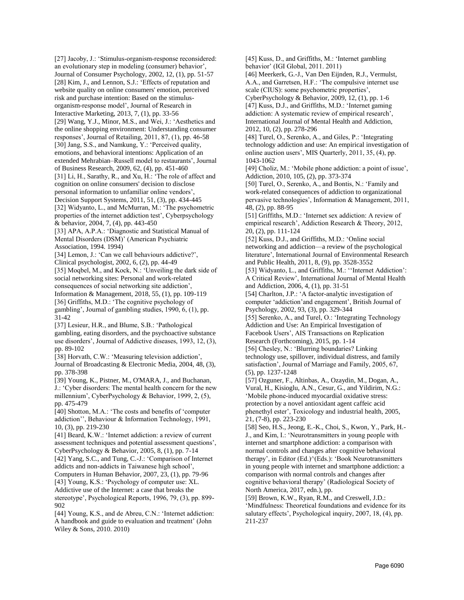[27] Jacoby, J.: 'Stimulus-organism-response reconsidered: an evolutionary step in modeling (consumer) behavior', Journal of Consumer Psychology, 2002, 12, (1), pp. 51-57 [28] Kim, J., and Lennon, S.J.: 'Effects of reputation and website quality on online consumers' emotion, perceived risk and purchase intention: Based on the stimulusorganism-response model', Journal of Research in Interactive Marketing, 2013, 7, (1), pp. 33-56 [29] Wang, Y.J., Minor, M.S., and Wei, J.: 'Aesthetics and the online shopping environment: Understanding consumer responses', Journal of Retailing, 2011, 87, (1), pp. 46-58 [30] Jang, S.S., and Namkung, Y.: 'Perceived quality, emotions, and behavioral intentions: Application of an extended Mehrabian–Russell model to restaurants', Journal of Business Research, 2009, 62, (4), pp. 451-460 [31] Li, H., Sarathy, R., and Xu, H.: 'The role of affect and cognition on online consumers' decision to disclose personal information to unfamiliar online vendors', Decision Support Systems, 2011, 51, (3), pp. 434-445 [32] Widyanto, L., and McMurran, M.: 'The psychometric properties of the internet addiction test', Cyberpsychology & behavior, 2004, 7, (4), pp. 443-450 [33] APA, A.P.A.: 'Diagnostic and Statistical Manual of Mental Disorders (DSM)' (American Psychiatric Association, 1994. 1994) [34] Lemon, J.: 'Can we call behaviours addictive?', Clinical psychologist, 2002, 6, (2), pp. 44-49 [35] Moqbel, M., and Kock, N.: 'Unveiling the dark side of social networking sites: Personal and work-related consequences of social networking site addiction', Information & Management, 2018, 55, (1), pp. 109-119 [36] Griffiths, M.D.: 'The cognitive psychology of gambling', Journal of gambling studies, 1990, 6, (1), pp. 31-42 [37] Lesieur, H.R., and Blume, S.B.: 'Pathological gambling, eating disorders, and the psychoactive substance use disorders', Journal of Addictive diseases, 1993, 12, (3), pp. 89-102 [38] Horvath, C.W.: 'Measuring television addiction', Journal of Broadcasting & Electronic Media, 2004, 48, (3), pp. 378-398 [39] Young, K., Pistner, M., O'MARA, J., and Buchanan, J.: 'Cyber disorders: The mental health concern for the new millennium', CyberPsychology & Behavior, 1999, 2, (5),

pp. 475-479 [40] Shotton, M.A.: 'The costs and benefits of 'computer addiction'', Behaviour & Information Technology, 1991, 10, (3), pp. 219-230

[41] Beard, K.W.: 'Internet addiction: a review of current assessment techniques and potential assessment questions', CyberPsychology & Behavior, 2005, 8, (1), pp. 7-14

[42] Yang, S.C., and Tung, C.-J.: 'Comparison of Internet addicts and non-addicts in Taiwanese high school',

Computers in Human Behavior, 2007, 23, (1), pp. 79-96 [43] Young, K.S.: 'Psychology of computer use: XL. Addictive use of the Internet: a case that breaks the stereotype', Psychological Reports, 1996, 79, (3), pp. 899-

902 [44] Young, K.S., and de Abreu, C.N.: 'Internet addiction:

A handbook and guide to evaluation and treatment' (John Wiley & Sons, 2010. 2010)

[45] Kuss, D., and Griffiths, M.: 'Internet gambling behavior' (IGI Global, 2011. 2011)

[46] Meerkerk, G.-J., Van Den Eijnden, R.J., Vermulst, A.A., and Garretsen, H.F.: 'The compulsive internet use scale (CIUS): some psychometric properties',

CyberPsychology & Behavior, 2009, 12, (1), pp. 1-6 [47] Kuss, D.J., and Griffiths, M.D.: 'Internet gaming addiction: A systematic review of empirical research', International Journal of Mental Health and Addiction, 2012, 10, (2), pp. 278-296

[48] Turel, O., Serenko, A., and Giles, P.: 'Integrating technology addiction and use: An empirical investigation of online auction users', MIS Quarterly, 2011, 35, (4), pp. 1043-1062

[49] Choliz, M.: 'Mobile phone addiction: a point of issue', Addiction, 2010, 105, (2), pp. 373-374

[50] Turel, O., Serenko, A., and Bontis, N.: 'Family and work-related consequences of addiction to organizational pervasive technologies', Information & Management, 2011, 48, (2), pp. 88-95

[51] Griffiths, M.D.: 'Internet sex addiction: A review of empirical research', Addiction Research & Theory, 2012, 20, (2), pp. 111-124

[52] Kuss, D.J., and Griffiths, M.D.: 'Online social networking and addiction—a review of the psychological literature', International Journal of Environmental Research and Public Health, 2011, 8, (9), pp. 3528-3552

[53] Widyanto, L., and Griffiths, M.: ''Internet Addiction': A Critical Review', International Journal of Mental Health and Addiction, 2006, 4, (1), pp. 31-51

[54] Charlton, J.P.: 'A factor-analytic investigation of computer 'addiction'and engagement', British Journal of Psychology, 2002, 93, (3), pp. 329-344

[55] Serenko, A., and Turel, O.: 'Integrating Technology Addiction and Use: An Empirical Investigation of Facebook Users', AIS Transactions on Replication Research (Forthcoming), 2015, pp. 1-14

[56] Chesley, N.: 'Blurring boundaries? Linking technology use, spillover, individual distress, and family satisfaction', Journal of Marriage and Family, 2005, 67, (5), pp. 1237-1248

[57] Ozguner, F., Altinbas, A., Ozaydin, M., Dogan, A., Vural, H., Kisioglu, A.N., Cesur, G., and Yildirim, N.G.: 'Mobile phone-induced myocardial oxidative stress: protection by a novel antioxidant agent caffeic acid phenethyl ester', Toxicology and industrial health, 2005, 21, (7-8), pp. 223-230

[58] Seo, H.S., Jeong, E.-K., Choi, S., Kwon, Y., Park, H.- J., and Kim, I.: 'Neurotransmitters in young people with internet and smartphone addiction: a comparison with normal controls and changes after cognitive behavioral therapy', in Editor (Ed.)^(Eds.): 'Book Neurotransmitters in young people with internet and smartphone addiction: a comparison with normal controls and changes after cognitive behavioral therapy' (Radiological Society of North America, 2017, edn.), pp.

[59] Brown, K.W., Ryan, R.M., and Creswell, J.D.: 'Mindfulness: Theoretical foundations and evidence for its salutary effects', Psychological inquiry, 2007, 18, (4), pp. 211-237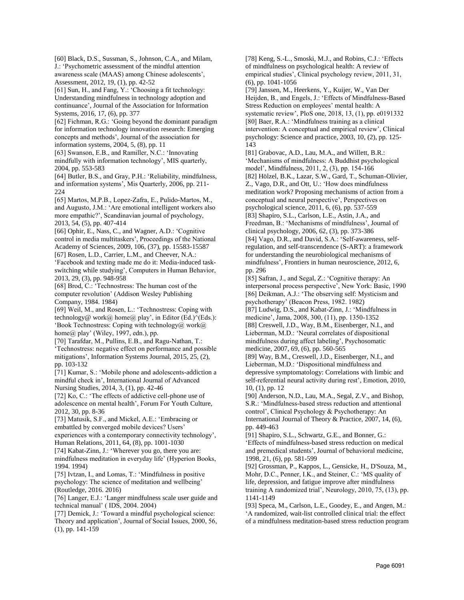[60] Black, D.S., Sussman, S., Johnson, C.A., and Milam, J.: 'Psychometric assessment of the mindful attention awareness scale (MAAS) among Chinese adolescents', Assessment, 2012, 19, (1), pp. 42-52

[61] Sun, H., and Fang, Y.: 'Choosing a fit technology: Understanding mindfulness in technology adoption and continuance', Journal of the Association for Information Systems, 2016, 17, (6), pp. 377

[62] Fichman, R.G.: 'Going beyond the dominant paradigm for information technology innovation research: Emerging concepts and methods', Journal of the association for information systems, 2004, 5, (8), pp. 11

[63] Swanson, E.B., and Ramiller, N.C.: 'Innovating mindfully with information technology', MIS quarterly, 2004, pp. 553-583

[64] Butler, B.S., and Gray, P.H.: 'Reliability, mindfulness, and information systems', Mis Quarterly, 2006, pp. 211- 224

[65] Martos, M.P.B., Lopez‐Zafra, E., Pulido‐Martos, M., and Augusto, J.M.: 'Are emotional intelligent workers also more empathic?', Scandinavian journal of psychology, 2013, 54, (5), pp. 407-414

[66] Ophir, E., Nass, C., and Wagner, A.D.: 'Cognitive control in media multitaskers', Proceedings of the National Academy of Sciences, 2009, 106, (37), pp. 15583-15587

[67] Rosen, L.D., Carrier, L.M., and Cheever, N.A.:

'Facebook and texting made me do it: Media-induced taskswitching while studying', Computers in Human Behavior, 2013, 29, (3), pp. 948-958

[68] Brod, C.: 'Technostress: The human cost of the computer revolution' (Addison Wesley Publishing Company, 1984. 1984)

[69] Weil, M., and Rosen, L.: 'Technostress: Coping with technology@ work@ home@ play', in Editor (Ed.) $\textdegree$ (Eds.): 'Book Technostress: Coping with technology@ work@ home@ play' (Wiley, 1997, edn.), pp.

[70] Tarafdar, M., Pullins, E.B., and Ragu‐Nathan, T.: 'Technostress: negative effect on performance and possible mitigations', Information Systems Journal, 2015, 25, (2), pp. 103-132

[71] Kumar, S.: 'Mobile phone and adolescents-addiction a mindful check in', International Journal of Advanced Nursing Studies, 2014, 3, (1), pp. 42-46

[72] Ko, C.: 'The effects of addictive cell-phone use of adolescence on mental health', Forum For Youth Culture, 2012, 30, pp. 8-36

[73] Matusik, S.F., and Mickel, A.E.: 'Embracing or embattled by converged mobile devices? Users' experiences with a contemporary connectivity technology',

Human Relations, 2011, 64, (8), pp. 1001-1030 [74] Kabat-Zinn, J.: 'Wherever you go, there you are: mindfulness meditation in everyday life' (Hyperion Books, 1994. 1994)

[75] Ivtzan, I., and Lomas, T.: 'Mindfulness in positive psychology: The science of meditation and wellbeing' (Routledge, 2016. 2016)

[76] Langer, E.J.: 'Langer mindfulness scale user guide and technical manual' ( IDS, 2004. 2004)

[77] Demick, J.: 'Toward a mindful psychological science: Theory and application', Journal of Social Issues, 2000, 56, (1), pp. 141-159

[78] Keng, S.-L., Smoski, M.J., and Robins, C.J.: 'Effects of mindfulness on psychological health: A review of empirical studies', Clinical psychology review, 2011, 31, (6), pp. 1041-1056

[79] Janssen, M., Heerkens, Y., Kuijer, W., Van Der Heijden, B., and Engels, J.: 'Effects of Mindfulness-Based Stress Reduction on employees' mental health: A systematic review', PloS one, 2018, 13, (1), pp. e0191332 [80] Baer, R.A.: 'Mindfulness training as a clinical intervention: A conceptual and empirical review', Clinical psychology: Science and practice, 2003, 10, (2), pp. 125- 143

[81] Grabovac, A.D., Lau, M.A., and Willett, B.R.: 'Mechanisms of mindfulness: A Buddhist psychological model', Mindfulness, 2011, 2, (3), pp. 154-166 [82] Hölzel, B.K., Lazar, S.W., Gard, T., Schuman-Olivier, Z., Vago, D.R., and Ott, U.: 'How does mindfulness meditation work? Proposing mechanisms of action from a conceptual and neural perspective', Perspectives on psychological science, 2011, 6, (6), pp. 537-559 [83] Shapiro, S.L., Carlson, L.E., Astin, J.A., and Freedman, B.: 'Mechanisms of mindfulness', Journal of clinical psychology, 2006, 62, (3), pp. 373-386 [84] Vago, D.R., and David, S.A.: 'Self-awareness, selfregulation, and self-transcendence (S-ART): a framework for understanding the neurobiological mechanisms of mindfulness', Frontiers in human neuroscience, 2012, 6, pp. 296

[85] Safran, J., and Segal, Z.: 'Cognitive therapy: An interpersonal process perspective', New York: Basic, 1990 [86] Deikman, A.J.: 'The observing self: Mysticism and psychotherapy' (Beacon Press, 1982. 1982)

[87] Ludwig, D.S., and Kabat-Zinn, J.: 'Mindfulness in medicine', Jama, 2008, 300, (11), pp. 1350-1352 [88] Creswell, J.D., Way, B.M., Eisenberger, N.I., and Lieberman, M.D.: 'Neural correlates of dispositional mindfulness during affect labeling', Psychosomatic medicine, 2007, 69, (6), pp. 560-565

[89] Way, B.M., Creswell, J.D., Eisenberger, N.I., and Lieberman, M.D.: 'Dispositional mindfulness and depressive symptomatology: Correlations with limbic and self-referential neural activity during rest', Emotion, 2010, 10, (1), pp. 12

[90] Anderson, N.D., Lau, M.A., Segal, Z.V., and Bishop, S.R.: 'Mindfulness‐based stress reduction and attentional control', Clinical Psychology & Psychotherapy: An International Journal of Theory & Practice, 2007, 14, (6), pp. 449-463

[91] Shapiro, S.L., Schwartz, G.E., and Bonner, G.: 'Effects of mindfulness-based stress reduction on medical and premedical students', Journal of behavioral medicine, 1998, 21, (6), pp. 581-599

[92] Grossman, P., Kappos, L., Gensicke, H., D'Souza, M., Mohr, D.C., Penner, I.K., and Steiner, C.: 'MS quality of life, depression, and fatigue improve after mindfulness training A randomized trial', Neurology, 2010, 75, (13), pp. 1141-1149

[93] Speca, M., Carlson, L.E., Goodey, E., and Angen, M.: 'A randomized, wait-list controlled clinical trial: the effect of a mindfulness meditation-based stress reduction program